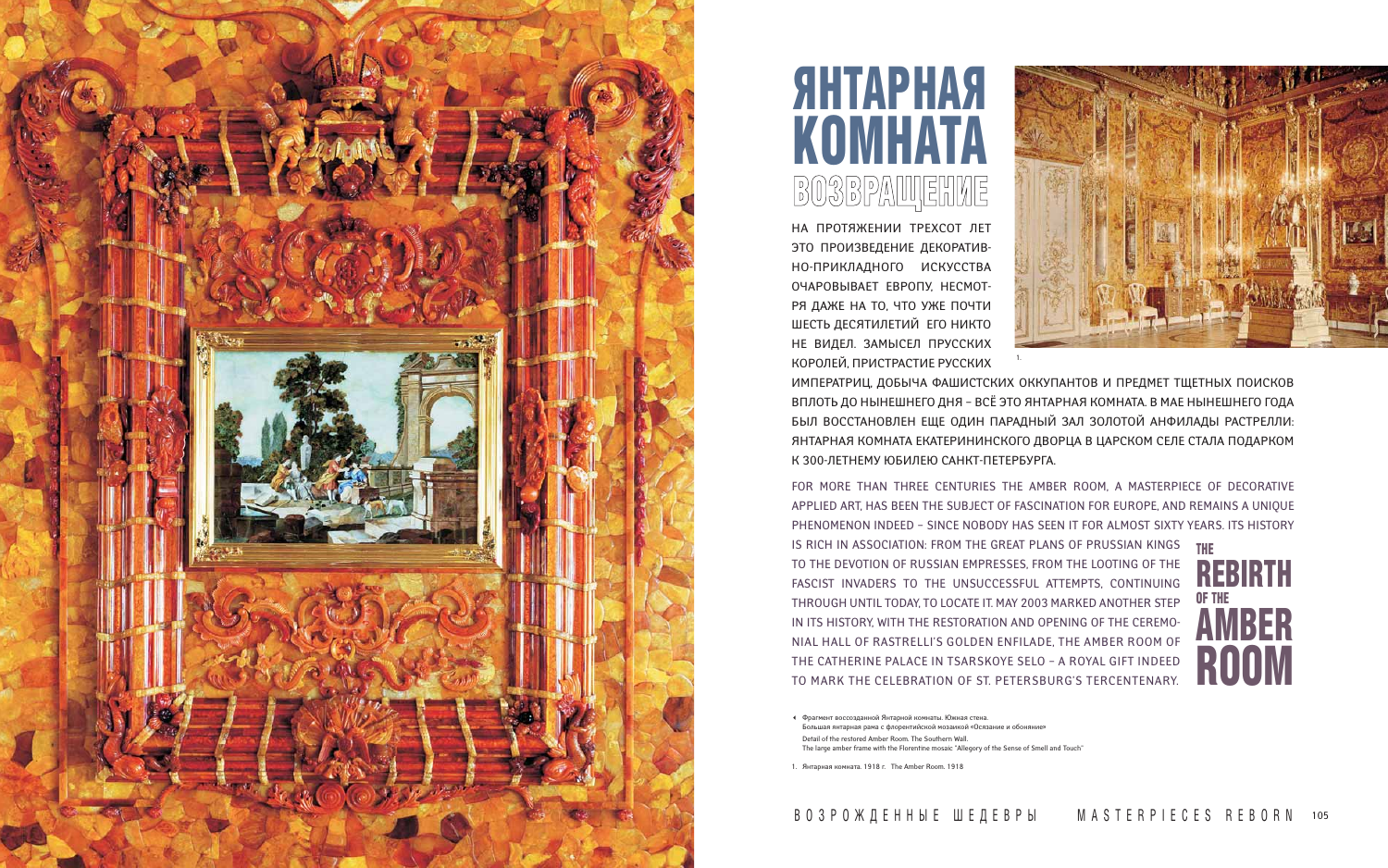НА ПРОТЯЖЕНИИ ТРЕХСОТ ЛЕТ ЭТО ПРОИЗВЕДЕНИЕ ДЕКОРАТИВ-НО-ПРИКЛАДНОГО ИСКУССТВА ОЧАРОВЫВАЕТ ЕВРОПУ, НЕСМОТ-РЯ ДАЖЕ НА ТО, ЧТО УЖЕ ПОЧТИ ШЕСТЬ ДЕСЯТИЛЕТИЙ ЕГО НИКТО НЕ ВИДЕЛ. ЗАМЫСЕЛ ПРУССКИХ КОРОЛЕЙ, ПРИСТРАСТИЕ РУССКИХ ИМПЕРАТРИЦ, ДОБЫЧА ФАШИСТСКИХ ОККУПАНТОВ И ПРЕДМЕТ ТЩЕТНЫХ ПОИСКОВ ВПЛОТЬ ДО НЫНЕШНЕГО ДНЯ – ВСЁ ЭТО ЯНТАРНАЯ КОМНАТА. В МАЕ НЫНЕШНЕГО ГОДА БЫЛ ВОССТАНОВЛЕН ЕЩЕ ОДИН ПАРАДНЫЙ ЗАЛ ЗОЛОТОЙ АНФИЛАДЫ РАСТРЕЛЛИ: ЯНТАРНАЯ КОМНАТА ЕКАТЕРИНИНСКОГО ДВОРЦА В ЦАРСКОМ СЕЛЕ СТАЛА ПОДАРКОМ К 300-ЛЕТНЕМУ ЮБИЛЕЮ САНКТ-ПЕТЕРБУРГА. 1.

FOR MORE THAN THREE CENTURIES THE AMBER ROOM, A MASTERPIECE OF DECORATIVE APPLIED ART, HAS BEEN THE SUBJECT OF FASCINATION FOR EUROPE, AND REMAINS A UNIQUE PHENOMENON INDEED – SINCE NOBODY HAS SEEN IT FOR ALMOST SIXTY YEARS. ITS HISTORY IS RICH IN ASSOCIATION: FROM THE GREAT PLANS OF PRUSSIAN KINGS TO THE DEVOTION OF RUSSIAN EMPRESSES, FROM THE LOOTING OF THE FASCIST INVADERS TO THE UNSUCCESSFUL ATTEMPTS, CONTINUING THROUGH UNTIL TODAY, TO LOCATE IT. MAY 2003 MARKED ANOTHER STEP IN ITS HISTORY, WITH THE RESTORATION AND OPENING OF THE CEREMO-NIAL HALL OF RASTRELLI'S GOLDEN ENFILADE, THE AMBER ROOM OF THE CATHERINE PALACE IN TSARSKOYE SELO – A ROYAL GIFT INDEED TO MARK THE CELEBRATION OF ST. PETERSBURG'S TERCENTENARY.

THE REBIRTH OF THE AMBER ROOM



## ЯНТАРНАЯ КОМНАТА ВОЗВРАЩЕНИЕ

- Фрагмент воссозданной Янтарной комнаты. Южная стена. Большая янтарная рама с флорентийской мозаикой «Осязание и обоняние» Detail of the restored Amber Room. The Southern Wall. The large amber frame with the Florentine mosaic "Allegory of the Sense of Smell and Touch"

1. Янтарная комната. 1918 г. The Amber Room. 1918

## ВОЗРОЖДЕННЫЕ ШЕДЕВРЫ

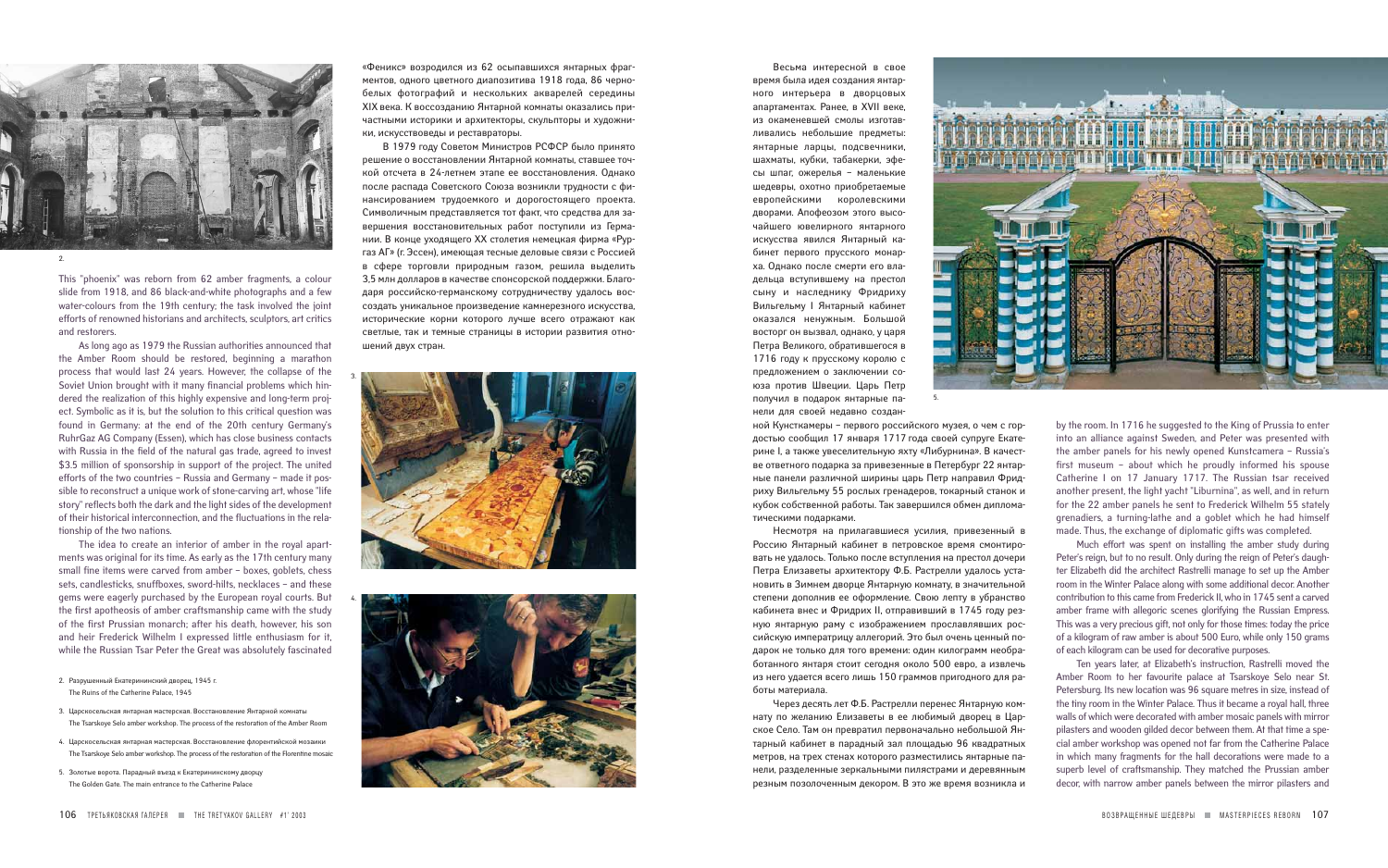Несмотря на прилагавшиеся усилия, привезенный в Россию Янтарный кабинет в петровское время смонтировать не удалось. Только после вступления на престол дочери Петра Елизаветы архитектору Ф.Б. Растрелли удалось установить в Зимнем дворце Янтарную комнату, в значительной степени дополнив ее оформление. Свою лепту в убранство кабинета внес и Фридрих II, отправивший в 1745 году резную янтарную раму с изображением прославлявших российскую императрицу аллегорий. Это был очень ценный подарок не только для того времени: один килограмм необработанного янтаря стоит сегодня около 500 евро, а извлечь из него удается всего лишь 150 граммов пригодного для работы материала.

Через десять лет Ф.Б. Растрелли перенес Янтарную комнату по желанию Елизаветы в ее любимый дворец в Царское Село. Там он превратил первоначально небольшой Янтарный кабинет в парадный зал площадью 96 квадратных метров, на трех стенах которого разместились янтарные панели, разделенные зеркальными пилястрами и деревянным резным позолоченным декором. В это же время возникла и



This "phoenix" was reborn from 62 amber fragments, a colour slide from 1918, and 86 black-and-white photographs and a few water-colours from the 19th century; the task involved the joint efforts of renowned historians and architects, sculptors, art critics and restorers.

As long ago as 1979 the Russian authorities announced that the Amber Room should be restored, beginning a marathon process that would last 24 years. However, the collapse of the Soviet Union brought with it many financial problems which hindered the realization of this highly expensive and long-term project. Symbolic as it is, but the solution to this critical question was found in Germany: at the end of the 20th century Germany's RuhrGaz AG Company (Essen), which has close business contacts with Russia in the field of the natural gas trade, agreed to invest \$3.5 million of sponsorship in support of the project. The united efforts of the two countries – Russia and Germany – made it possible to reconstruct a unique work of stone-carving art, whose "life story" reflects both the dark and the light sides of the development of their historical interconnection, and the fluctuations in the relationship of the two nations.

The idea to create an interior of amber in the royal apartments was original for its time. As early as the 17th century many small fine items were carved from amber – boxes, goblets, chess sets, candlesticks, snuffboxes, sword-hilts, necklaces – and these gems were eagerly purchased by the European royal courts. But the first apotheosis of amber craftsmanship came with the study of the first Prussian monarch; after his death, however, his son and heir Frederick Wilhelm I expressed little enthusiasm for it, while the Russian Tsar Peter the Great was absolutely fascinated

Весьма интересной в свое время была идея создания янтарного интерьера в дворцовых апартаментах. Ранее, в XVII веке, из окаменевшей смолы изготавливались небольшие предметы: янтарные ларцы, подсвечники, шахматы, кубки, табакерки, эфесы шпаг, ожерелья – маленькие шедевры, охотно приобретаемые европейскими королевскими дворами. Апофеозом этого высочайшего ювелирного янтарного искусства явился Янтарный кабинет первого прусского монарха. Однако после смерти его владельца вступившему на престол сыну и наследнику Фридриху Вильгельму I Янтарный кабинет оказался ненужным. Большой восторг он вызвал, однако, у царя Петра Великого, обратившегося в 1716 году к прусскому королю с предложением о заключении союза против Швеции. Царь Петр получил в подарок янтарные панели для своей недавно созданной Кунсткамеры – первого российского музея, о чем с гордостью сообщил 17 января 1717 года своей супруге Екатерине I, а также увеселительную яхту «Либурнина». В качестве ответного подарка за привезенные в Петербург 22 янтарные панели различной ширины царь Петр направил Фридриху Вильгельму 55 рослых гренадеров, токарный станок и кубок собственной работы. Так завершился обмен дипломатическими подарками. 5.

by the room. In 1716 he suggested to the King of Prussia to enter into an alliance against Sweden, and Peter was presented with the amber panels for his newly opened Kunstcamera – Russia's first museum – about which he proudly informed his spouse Catherine I on 17 January 1717. The Russian tsar received another present, the light yacht "Liburnina", as well, and in return for the 22 amber panels he sent to Frederick Wilhelm 55 stately grenadiers, a turning-lathe and a goblet which he had himself made. Thus, the exchange of diplomatic gifts was completed.

Much effort was spent on installing the amber study during Peter's reign, but to no result. Only during the reign of Peter's daughter Elizabeth did the architect Rastrelli manage to set up the Amber room in the Winter Palace along with some additional decor. Another contribution to this came from Frederick II, who in 1745 sent a carved amber frame with allegoric scenes glorifying the Russian Empress. This was a very precious gift, not only for those times: today the price of a kilogram of raw amber is about 500 Euro, while only 150 grams of each kilogram can be used for decorative purposes.

Ten years later, at Elizabeth's instruction, Rastrelli moved the Amber Room to her favourite palace at Tsarskoye Selo near St. Petersburg. Its new location was 96 square metres in size, instead of the tiny room in the Winter Palace. Thus it became a royal hall, three walls of which were decorated with amber mosaic panels with mirror pilasters and wooden gilded dеcor between them. At that time a special amber workshop was opened not far from the Catherine Palace in which many fragments for the hall decorations were made to a superb level of craftsmanship. They matched the Prussian amber dеcor, with narrow amber panels between the mirror pilasters and

- 2. Разрушенный Екатерининский дворец, 1945 г. The Ruins of the Catherine Palace, 1945
- 3. Царскосельская янтарная мастерская. Восстановление Янтарной комнаты The Tsarskoye Selo amber workshop. The process of the restoration of the Amber Room
- 4. Царскосельская янтарная мастерская. Восстановление флорентийской мозаики The Tsarskoye Selo amber workshop. The process of the restoration of the Florentine mosaic
- 5. Золотые ворота. Парадный въезд к Екатерининскому дворцу The Golden Gate. The main entrance to the Catherine Palace

«Феникс» возродился из 62 осыпавшихся янтарных фрагментов, одного цветного диапозитива 1918 года, 86 чернобелых фотографий и нескольких акварелей середины XIX века. К воссозданию Янтарной комнаты оказались причастными историки и архитекторы, скульпторы и художники, искусствоведы и реставраторы.

В 1979 году Советом Министров РСФСР было принято решение о восстановлении Янтарной комнаты, ставшее точкой отсчета в 24-летнем этапе ее восстановления. Однако после распада Советского Союза возникли трудности с финансированием трудоемкого и дорогостоящего проекта. Символичным представляется тот факт, что средства для завершения восстановительных работ поступили из Германии. В конце уходящего XX столетия немецкая фирма «Рургаз АГ» (г. Эссен), имеющая тесные деловые связи с Россией в сфере торговли природным газом, решила выделить 3,5 млн долларов в качестве спонсорской поддержки. Благодаря российско-германскому сотрудничеству удалось воссоздать уникальное произведение камнерезного искусства, исторические корни которого лучше всего отражают как светлые, так и темные страницы в истории развития отношений двух стран.